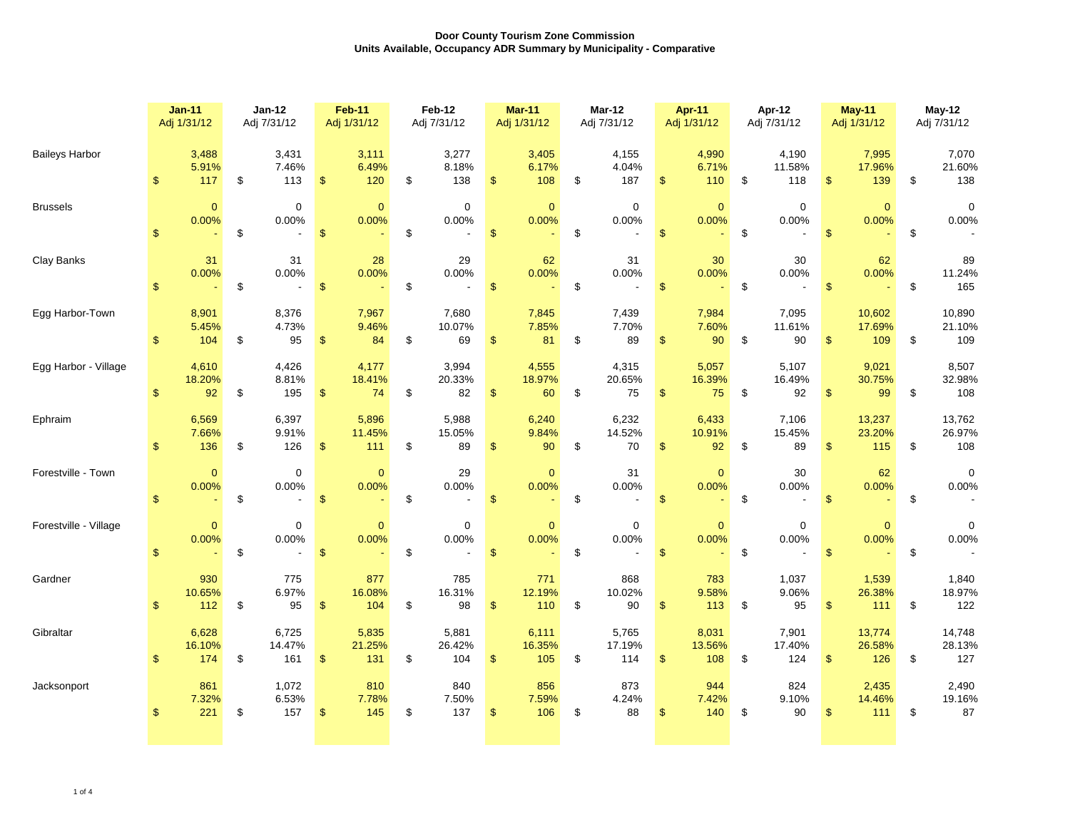|                       | <b>Jan-11</b><br>Adj 1/31/12 |                            | $Jan-12$<br>Adj 7/31/12    |                            | <b>Feb-11</b><br>Adj 1/31/12 |                            | Feb-12<br>Adj 7/31/12 |                                           | <b>Mar-11</b><br>Adj 1/31/12 |                            | <b>Mar-12</b><br>Adj 7/31/12 |                         | <b>Apr-11</b><br>Adj 1/31/12 |                         | Apr-12<br>Adj 7/31/12      |                         | <b>May-11</b><br>Adj 1/31/12 |                         | May-12<br>Adj 7/31/12 |                         |
|-----------------------|------------------------------|----------------------------|----------------------------|----------------------------|------------------------------|----------------------------|-----------------------|-------------------------------------------|------------------------------|----------------------------|------------------------------|-------------------------|------------------------------|-------------------------|----------------------------|-------------------------|------------------------------|-------------------------|-----------------------|-------------------------|
| <b>Baileys Harbor</b> | $\mathfrak{L}$               | 3,488<br>5.91%<br>117      | $\mathfrak{F}$             | 3,431<br>7.46%<br>113      | $\mathbb{S}$                 | 3,111<br>6.49%<br>120      | $\mathfrak{L}$        | 3,277<br>8.18%<br>138                     | $\mathfrak{S}$               | 3,405<br>6.17%<br>108      | \$                           | 4,155<br>4.04%<br>187   | $\mathbb{S}$                 | 4,990<br>6.71%<br>110   | $\mathfrak{F}$             | 4,190<br>11.58%<br>118  | $\mathfrak{S}$               | 7,995<br>17.96%<br>139  | \$                    | 7,070<br>21.60%<br>138  |
| <b>Brussels</b>       | $\mathfrak{S}$               | $\overline{0}$<br>$0.00\%$ | $\mathfrak{S}$             | $\mathbf 0$<br>0.00%       | $\mathcal{S}$                | $\overline{0}$<br>0.00%    | $\mathfrak{F}$        | $\overline{0}$<br>0.00%<br>$\blacksquare$ | S                            | $\overline{0}$<br>$0.00\%$ | $\mathfrak{S}$               | $\overline{0}$<br>0.00% | \$                           | $\overline{0}$<br>0.00% | $\boldsymbol{\mathsf{S}}$  | $\overline{0}$<br>0.00% | $\mathfrak{L}$               | $\overline{0}$<br>0.00% | \$                    | $\overline{0}$<br>0.00% |
| <b>Clay Banks</b>     |                              | 31<br>0.00%                | $\mathfrak{F}$             | 31<br>$0.00\%$             | $\mathbb{S}$                 | 28<br>0.00%                | \$                    | 29<br>0.00%<br>$\blacksquare$             |                              | 62<br>$0.00\%$             | \$                           | 31<br>0.00%             |                              | 30<br>0.00%             | \$                         | 30<br>0.00%             | $\mathfrak{F}$               | 62<br>0.00%             | \$                    | 89<br>11.24%<br>165     |
| Egg Harbor-Town       |                              | 8,901<br>5.45%<br>104      | $\mathfrak{F}$             | 8,376<br>4.73%<br>95       | $\mathfrak{S}$               | 7,967<br>9.46%<br>84       | $\mathfrak{L}$        | 7,680<br>10.07%<br>69                     |                              | 7,845<br>7.85%<br>81       | \$                           | 7,439<br>7.70%<br>89    | $\mathcal{S}$                | 7,984<br>7.60%<br>90    | $\boldsymbol{\mathcal{S}}$ | 7,095<br>11.61%<br>90   | $\mathfrak{S}$               | 10,602<br>17.69%<br>109 | \$                    | 10,890<br>21.10%<br>109 |
| Egg Harbor - Village  |                              | 4,610<br>18.20%<br>92      | $\mathfrak{F}$             | 4,426<br>8.81%<br>195      | $\mathcal{S}$                | 4,177<br>18.41%<br>74      | $\mathfrak{L}$        | 3,994<br>20.33%<br>82                     |                              | 4,555<br>18.97%<br>60      | S                            | 4,315<br>20.65%<br>75   | $\mathfrak{S}$               | 5,057<br>16.39%<br>75   | $\boldsymbol{\mathcal{S}}$ | 5,107<br>16.49%<br>92   | $\mathcal{S}$                | 9,021<br>30.75%<br>99   | \$                    | 8,507<br>32.98%<br>108  |
| Ephraim               |                              | 6,569<br>7.66%<br>136      | $\boldsymbol{\mathcal{L}}$ | 6,397<br>9.91%<br>126      | $\boldsymbol{\mathsf{S}}$    | 5,896<br>11.45%<br>111     | $\mathfrak{S}$        | 5,988<br>15.05%<br>89                     | $\mathfrak{L}$               | 6,240<br>9.84%<br>90       | $\mathfrak{S}$               | 6,232<br>14.52%<br>70   | $\mathcal{L}$                | 6,433<br>10.91%<br>92   | $\boldsymbol{\mathsf{S}}$  | 7,106<br>15.45%<br>89   | $\mathcal{S}$                | 13,237<br>23.20%<br>115 | \$                    | 13,762<br>26.97%<br>108 |
| Forestville - Town    | $\mathfrak{L}$               | $\overline{0}$<br>$0.00\%$ | $\mathfrak{F}$             | $\overline{0}$<br>$0.00\%$ | $\mathfrak{S}$               | $\overline{0}$<br>$0.00\%$ |                       | 29<br>0.00%                               |                              | $\overline{0}$<br>0.00%    | \$                           | 31<br>0.00%             |                              | $\overline{0}$<br>0.00% |                            | 30<br>0.00%             | $\mathfrak{F}$               | 62<br>0.00%             |                       | $\overline{0}$<br>0.00% |
| Forestville - Village |                              | $\overline{0}$<br>0.00%    | $\boldsymbol{\mathcal{L}}$ | $\overline{0}$<br>$0.00\%$ | $\mathbb{S}$                 | $\overline{0}$<br>0.00%    |                       | $\overline{0}$<br>0.00%<br>$\blacksquare$ |                              | $\overline{0}$<br>0.00%    | $\boldsymbol{\mathcal{L}}$   | $\overline{0}$<br>0.00% |                              | $\overline{0}$<br>0.00% |                            | $\overline{0}$<br>0.00% | $\mathfrak{F}$               | $\overline{0}$<br>0.00% |                       | $\overline{0}$<br>0.00% |
| Gardner               | $\mathcal{S}$                | 930<br>10.65%<br>112       | $\boldsymbol{\mathcal{S}}$ | 775<br>6.97%<br>95         | $\mathfrak{S}$               | 877<br>16.08%<br>104       | $\mathbb S$           | 785<br>16.31%<br>98                       |                              | 771<br>12.19%<br>110       | $\mathfrak{S}$               | 868<br>10.02%<br>90     |                              | 783<br>9.58%<br>113     | $\boldsymbol{\mathcal{S}}$ | 1,037<br>9.06%<br>95    | $\mathfrak{S}$               | 1,539<br>26.38%<br>111  |                       | 1,840<br>18.97%<br>122  |
| Gibraltar             | $\mathcal{L}$                | 6,628<br>16.10%<br>174     | $\mathfrak{F}$             | 6,725<br>14.47%<br>161     | $\mathfrak{S}$               | 5,835<br>21.25%<br>131     | $\mathfrak{S}$        | 5,881<br>26.42%<br>104                    | $\mathbb{S}$                 | 6,111<br>16.35%<br>105     | $\mathfrak{F}$               | 5,765<br>17.19%<br>114  | $\mathbb{S}$                 | 8,031<br>13.56%<br>108  | $\boldsymbol{\mathcal{L}}$ | 7,901<br>17.40%<br>124  | $\mathfrak{S}$               | 13,774<br>26.58%<br>126 |                       | 14,748<br>28.13%<br>127 |
| Jacksonport           | S                            | 861<br>7.32%<br>221        | $\mathfrak{F}$             | 1,072<br>6.53%<br>157      | \$                           | 810<br>7.78%<br>145        | $\mathfrak{S}$        | 840<br>7.50%<br>137                       | $\mathcal{S}$                | 856<br>7.59%<br>106        | $\mathfrak{F}$               | 873<br>4.24%<br>88      |                              | 944<br>7.42%<br>140     | $\boldsymbol{\mathcal{L}}$ | 824<br>9.10%<br>90      | $\mathfrak{F}$               | 2,435<br>14.46%<br>111  | \$                    | 2,490<br>19.16%<br>87   |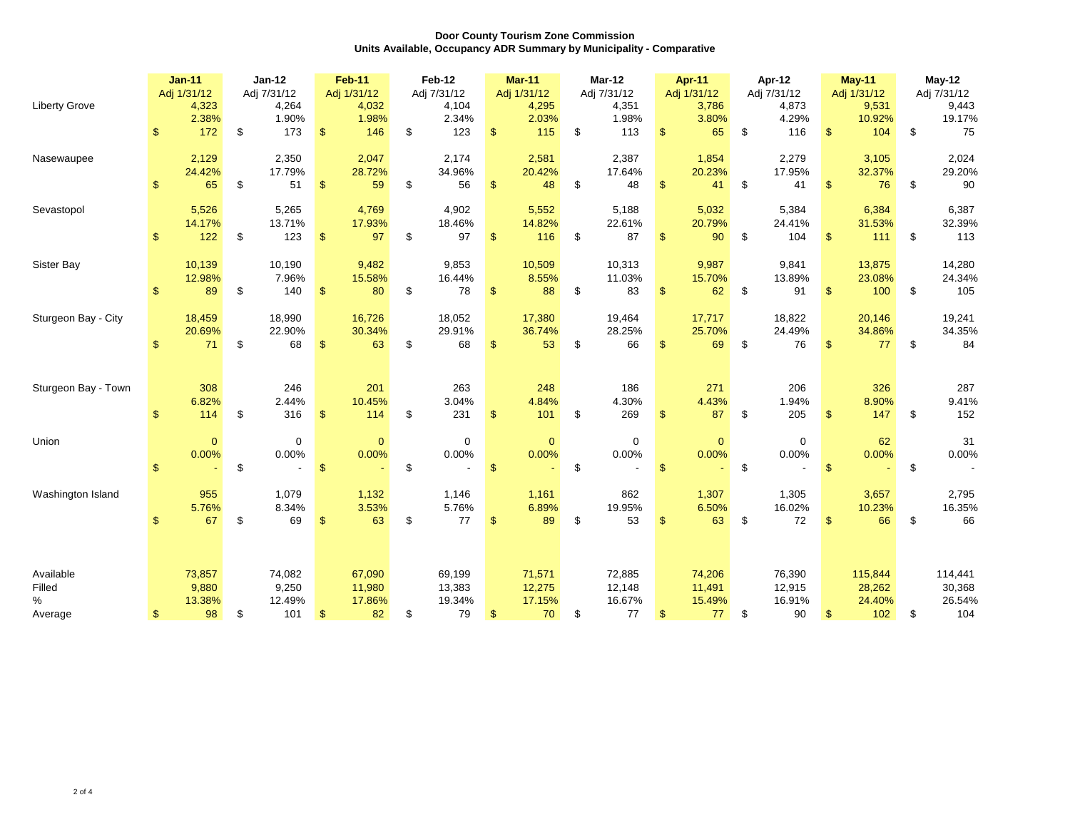|                            |                           | <b>Jan-11</b><br>Adj 1/31/12 |                            | <b>Jan-12</b><br>Adj 7/31/12 |                           | <b>Feb-11</b><br>Adj 1/31/12 |                            | Feb-12<br>Adj 7/31/12   |                           | <b>Mar-11</b><br>Adj 1/31/12 |                           | <b>Mar-12</b><br>Adj 7/31/12 |                | <b>Apr-11</b><br>Adj 1/31/12 |                            | Apr-12<br>Adj 7/31/12 |                           | <b>May-11</b><br>Adj 1/31/12 |                            | May-12<br>Adj 7/31/12 |
|----------------------------|---------------------------|------------------------------|----------------------------|------------------------------|---------------------------|------------------------------|----------------------------|-------------------------|---------------------------|------------------------------|---------------------------|------------------------------|----------------|------------------------------|----------------------------|-----------------------|---------------------------|------------------------------|----------------------------|-----------------------|
| <b>Liberty Grove</b>       | $\mathfrak{S}$            | 4,323<br>2.38%<br>172        | $\boldsymbol{\mathsf{S}}$  | 4,264<br>1.90%<br>173        | $\mathcal{S}$             | 4,032<br>1.98%<br>146        | $\boldsymbol{\mathsf{S}}$  | 4,104<br>2.34%<br>123   | $\boldsymbol{\mathsf{S}}$ | 4,295<br>2.03%               | S                         | 4,351<br>1.98%<br>113        | $\mathfrak{F}$ | 3,786<br>3.80%               | $\boldsymbol{\mathcal{S}}$ | 4,873<br>4.29%<br>116 | $\boldsymbol{\mathsf{S}}$ | 9,531<br>10.92%<br>104       | -\$                        | 9,443<br>19.17%       |
|                            |                           |                              |                            |                              |                           |                              |                            |                         |                           | 115                          |                           |                              |                | 65                           |                            |                       |                           |                              |                            | 75                    |
| Nasewaupee                 | $\boldsymbol{\mathsf{S}}$ | 2,129<br>24.42%<br>65        | $\boldsymbol{\mathsf{S}}$  | 2,350<br>17.79%<br>51        | $\mathfrak{S}$            | 2,047<br>28.72%<br>59        |                            | 2,174<br>34.96%<br>56   | $\boldsymbol{\mathsf{S}}$ | 2,581<br>20.42%<br>48        |                           | 2,387<br>17.64%<br>48        |                | 1,854<br>20.23%<br>41        | $\boldsymbol{\mathcal{S}}$ | 2,279<br>17.95%<br>41 | $\mathfrak{F}$            | 3,105<br>32.37%<br>76        |                            | 2,024<br>29.20%<br>90 |
| Sevastopol                 |                           | 5,526                        |                            | 5,265                        |                           | 4,769                        |                            | 4,902                   |                           | 5,552                        |                           | 5,188                        |                | 5,032                        |                            | 5,384                 |                           | 6,384                        |                            | 6,387                 |
|                            | $\mathfrak{S}$            | 14.17%<br>122                | $\boldsymbol{\mathsf{S}}$  | 13.71%<br>123                | $\boldsymbol{\mathsf{S}}$ | 17.93%<br>97                 | \$                         | 18.46%<br>97            | $\mathcal{S}$             | 14.82%<br>116                | \$                        | 22.61%<br>87                 |                | 20.79%<br>90                 | $\boldsymbol{\mathcal{S}}$ | 24.41%<br>104         | $\mathfrak{S}$            | 31.53%<br>111                | -\$                        | 32.39%<br>113         |
| <b>Sister Bay</b>          |                           | 10,139                       |                            | 10,190                       |                           | 9,482                        |                            | 9,853                   |                           | 10,509                       |                           | 10,313                       |                | 9,987                        |                            | 9,841                 |                           | 13,875                       |                            | 14,280                |
|                            |                           | 12.98%<br>89                 | $\boldsymbol{\mathsf{S}}$  | 7.96%<br>140                 | $\boldsymbol{\mathsf{S}}$ | 15.58%<br>80                 | $\mathfrak{F}$             | 16.44%<br>78            | $\boldsymbol{\mathsf{S}}$ | 8.55%<br>88                  | S                         | 11.03%<br>83                 | $\mathfrak{S}$ | 15.70%<br>62                 | $\frac{1}{2}$              | 13.89%<br>91          | $\mathcal{S}$             | 23.08%<br>100                | - \$                       | 24.34%<br>105         |
| Sturgeon Bay - City        |                           | 18,459                       |                            | 18,990                       |                           | 16,726                       |                            | 18,052                  |                           | 17,380                       |                           | 19,464                       |                | 17,717                       |                            | 18,822                |                           | 20,146                       |                            | 19,241                |
|                            | $\boldsymbol{\mathsf{S}}$ | 20.69%<br>71                 | $\boldsymbol{\mathsf{\$}}$ | 22.90%<br>68                 | $\mathfrak{S}$            | 30.34%<br>63                 | \$                         | 29.91%<br>68            | $\mathfrak{F}$            | 36.74%<br>53                 | S                         | 28.25%<br>66                 |                | 25.70%<br>69                 | $\boldsymbol{\mathcal{S}}$ | 24.49%<br>76          | $\boldsymbol{\mathsf{S}}$ | 34.86%<br>77                 | \$                         | 34.35%<br>84          |
| Sturgeon Bay - Town        |                           | 308                          |                            | 246                          |                           | 201                          |                            | 263                     |                           | 248                          |                           | 186                          |                | 271                          |                            | 206                   |                           | 326                          |                            | 287                   |
|                            | $\boldsymbol{\mathsf{S}}$ | 6.82%<br>114                 | $\boldsymbol{\mathsf{S}}$  | 2.44%<br>316                 | $\mathcal{S}$             | 10.45%<br>114                | $\boldsymbol{\mathcal{L}}$ | 3.04%<br>231            | $\mathfrak{F}$            | 4.84%<br>101                 | $\mathfrak{S}$            | 4.30%<br>269                 | $\mathcal{S}$  | 4.43%<br>87                  | $\boldsymbol{\mathsf{S}}$  | .94%<br>205           | $\mathcal{S}$             | 8.90%<br>147                 | $\boldsymbol{\mathcal{F}}$ | 9.41%<br>152          |
| Union                      |                           | $\overline{0}$               |                            | $\overline{0}$               |                           | $\overline{0}$               |                            | $\pmb{0}$               |                           | $\mathbf{0}$                 |                           | $\overline{0}$               |                | $\overline{0}$               |                            | $\overline{0}$        |                           | 62                           |                            | 31                    |
|                            | $\mathfrak{S}$            | 0.00%                        | $\boldsymbol{\mathsf{S}}$  | 0.00%                        | $\mathcal{S}$             | 0.00%                        | $\boldsymbol{\mathcal{S}}$ | 0.00%<br>$\blacksquare$ | $\mathfrak{S}$            | 0.00%                        | $\boldsymbol{\mathsf{S}}$ | $0.00\%$                     | $\mathfrak{S}$ | 0.00%                        | $\mathfrak{S}$             | $0.00\%$              | $\mathcal{S}$             | 0.00%                        | $\boldsymbol{\mathcal{S}}$ | 0.00%                 |
| Washington Island          |                           | 955<br>5.76%                 |                            | 1,079<br>8.34%               |                           | 1,132<br>3.53%               |                            | 1,146<br>5.76%          |                           | 1,161                        |                           | 862                          |                | 1,307<br>6.50%               |                            | 1,305                 |                           | 3,657<br>10.23%              |                            | 2,795<br>16.35%       |
|                            | \$                        | 67                           | $\boldsymbol{\mathsf{S}}$  | 69                           | $\mathcal{S}$             | 63                           | $\mathfrak{F}$             | 77                      | $\sqrt[6]{\frac{1}{2}}$   | 6.89%<br>89                  | $\mathfrak{S}$            | 19.95%<br>53                 | $\mathfrak{S}$ | 63                           | $\mathfrak{F}$             | 16.02%<br>72          | $\mathcal{S}$             | 66                           | \$                         | 66                    |
|                            |                           |                              |                            |                              |                           |                              |                            |                         |                           |                              |                           |                              |                |                              |                            |                       |                           |                              |                            |                       |
| Available<br><b>Filled</b> |                           | 73,857<br>9,880              |                            | 74,082<br>9,250              |                           | 67,090<br>11,980             |                            | 69,199<br>13,383        |                           | 71,571<br>12,275             |                           | 72,885<br>12,148             |                | 74,206<br>11,491             |                            | 76,390<br>12,915      |                           | 115,844<br>28,262            |                            | 114,441<br>30,368     |
| $\%$<br>Average            |                           | 13.38%<br>98                 | $\boldsymbol{\mathsf{S}}$  | 12.49%<br>101                | $\mathcal{S}$             | 17.86%<br>82                 |                            | 19.34%<br>79            | $\mathcal{S}$             | 17.15%<br>70                 | $\mathfrak{F}$            | 16.67%<br>77                 | $\mathcal{S}$  | 15.49%<br>77                 | $\boldsymbol{\mathsf{S}}$  | 16.91%<br>90          | $\mathbb{S}$              | 24.40%<br>102                | \$                         | 26.54%<br>104         |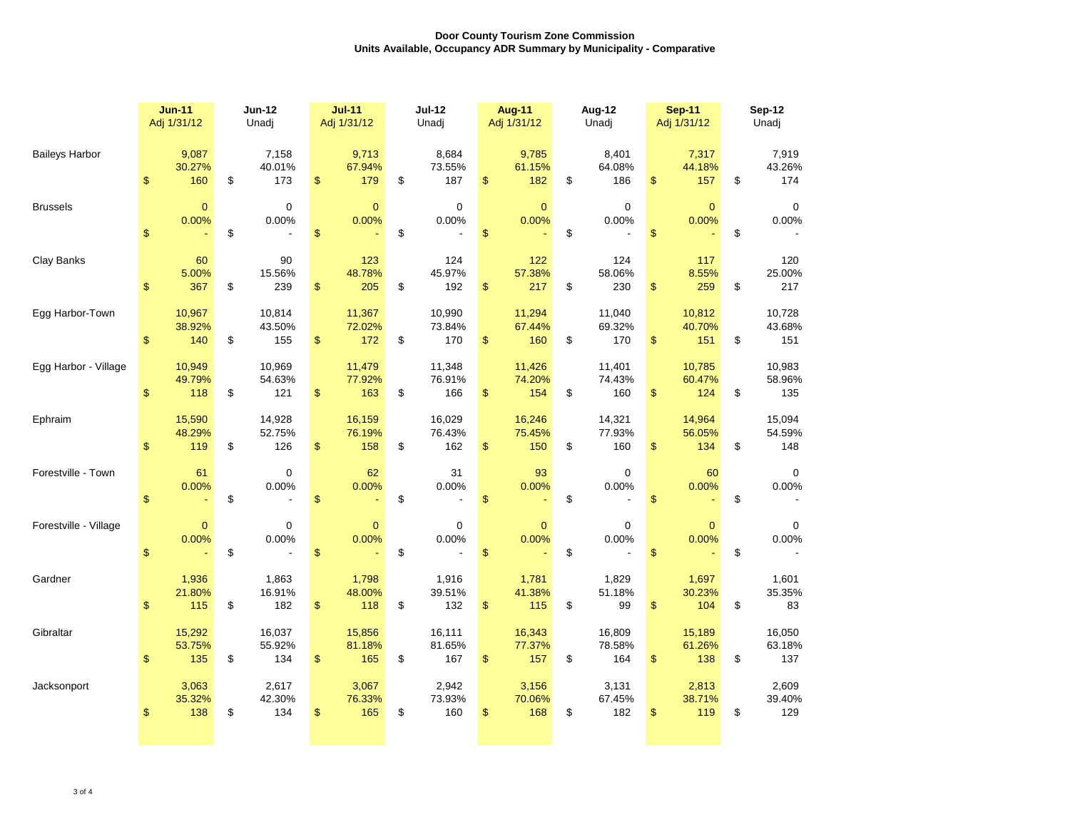|                       | <b>Jun-11</b><br>Adj 1/31/12                   | <b>Jun-12</b><br>Unadj                                  | <b>Jul-11</b><br>Adj 1/31/12                            | <b>Jul-12</b><br>Unadj                           | <b>Aug-11</b><br>Adj 1/31/12                         | Aug-12<br>Unadj                                                        | <b>Sep-11</b><br>Adj 1/31/12                         | <b>Sep-12</b><br>Unadj                                |  |  |
|-----------------------|------------------------------------------------|---------------------------------------------------------|---------------------------------------------------------|--------------------------------------------------|------------------------------------------------------|------------------------------------------------------------------------|------------------------------------------------------|-------------------------------------------------------|--|--|
| <b>Baileys Harbor</b> | 9,087<br>30.27%<br>$\boldsymbol{\mathsf{S}}$   | 7,158<br>40.01%<br>\$<br>160<br>173                     | 9,713<br>67.94%<br>$\boldsymbol{\mathsf{S}}$<br>179     | 8,684<br>73.55%<br>$\boldsymbol{\theta}$<br>187  | 9,785<br>61.15%<br>$\boldsymbol{\mathsf{S}}$<br>182  | 8,401<br>64.08%<br>$\boldsymbol{\mathsf{S}}$<br>186                    | 7,317<br>44.18%<br>$\boldsymbol{\mathsf{S}}$<br>157  | 7,919<br>43.26%<br>$\mathfrak{F}$<br>174              |  |  |
| <b>Brussels</b>       | 0.00%<br>$\boldsymbol{\mathsf{S}}$             | $\overline{0}$<br>$\overline{0}$<br>0.00%<br>\$         | $\overline{0}$<br>0.00%<br>$\boldsymbol{\mathsf{S}}$    | $\overline{0}$<br>0.00%<br>$\boldsymbol{\theta}$ | $\overline{0}$<br>0.00%<br>$\boldsymbol{\mathsf{S}}$ | $\overline{0}$<br>0.00%<br>$\boldsymbol{\mathsf{S}}$                   | $\overline{0}$<br>0.00%<br>\$                        | $\overline{0}$<br>0.00%<br>\$                         |  |  |
| <b>Clay Banks</b>     | 5.00%<br>$\boldsymbol{\mathsf{S}}$             | 60<br>90<br>15.56%<br>367<br>\$<br>239                  | 123<br>48.78%<br>$\boldsymbol{\mathsf{S}}$<br>205       | 124<br>45.97%<br>$\boldsymbol{\theta}$<br>192    | 122<br>57.38%<br>$\boldsymbol{\theta}$<br>217        | 124<br>58.06%<br>$\boldsymbol{\mathsf{\$}}$<br>230                     | 117<br>8.55%<br>$\boldsymbol{\theta}$<br>259         | 120<br>25.00%<br>\$<br>217                            |  |  |
| Egg Harbor-Town       | 10,967<br>38.92%<br>\$                         | 10,814<br>43.50%<br>140<br>\$<br>155                    | 11,367<br>72.02%<br>$\boldsymbol{\mathsf{S}}$<br>172    | 10,990<br>73.84%<br>$\boldsymbol{\theta}$<br>170 | 11,294<br>67.44%<br>160<br>$\boldsymbol{\mathsf{S}}$ | 11,040<br>69.32%<br>$\boldsymbol{\mathsf{S}}$<br>170                   | 10,812<br>40.70%<br>$\boldsymbol{\theta}$<br>151     | 10,728<br>43.68%<br>\$<br>151                         |  |  |
| Egg Harbor - Village  | 10,949<br>49.79%<br>$\boldsymbol{\mathsf{\$}}$ | 10,969<br>54.63%<br>118<br>\$<br>121                    | 11,479<br>77.92%<br>$\boldsymbol{\mathsf{S}}$<br>163    | 11,348<br>76.91%<br>$\boldsymbol{\theta}$<br>166 | 11,426<br>74.20%<br>$\boldsymbol{\theta}$<br>154     | 11,401<br>74.43%<br>$\boldsymbol{\mathsf{S}}$<br>160                   | 10,785<br>60.47%<br>$\boldsymbol{\mathsf{S}}$<br>124 | 10,983<br>58.96%<br>\$<br>135                         |  |  |
| Ephraim               | 15,590<br>48.29%<br>$\boldsymbol{\mathsf{S}}$  | 14,928<br>52.75%<br>$\boldsymbol{\theta}$<br>126<br>119 | 16,159<br>76.19%<br>$\boldsymbol{\mathsf{S}}$<br>158    | 16,029<br>76.43%<br>$\boldsymbol{\theta}$<br>162 | 16,246<br>75.45%<br>$\boldsymbol{\theta}$<br>150     | 14,321<br>77.93%<br>$\boldsymbol{\mathsf{\$}}$<br>160                  | 14,964<br>56.05%<br>$\mathcal{L}$<br>134             | 15,094<br>54.59%<br>$\boldsymbol{\mathcal{L}}$<br>148 |  |  |
| Forestville - Town    | 0.00%<br>$\boldsymbol{\mathsf{S}}$             | 61<br>$\overline{0}$<br>0.00%<br>\$                     | 62<br>$0.00\%$<br>$\boldsymbol{\mathsf{S}}$             | 31<br>0.00%<br>$\boldsymbol{\theta}$             | 93<br>0.00%<br>$\boldsymbol{\mathsf{\$}}$            | $\mathbf 0$<br>0.00%<br>$\boldsymbol{\mathsf{S}}$<br>$\blacksquare$    | 60<br>0.00%<br>$\mathfrak{F}$                        | 0<br>0.00%<br>\$                                      |  |  |
| Forestville - Village | 0.00%<br>$\boldsymbol{\mathsf{S}}$             | $\overline{0}$<br>$\overline{0}$<br>$0.00\%$<br>\$      | $\overline{0}$<br>$0.00\%$<br>$\boldsymbol{\mathsf{S}}$ | $\overline{0}$<br>0.00%<br>$\boldsymbol{\theta}$ | $\overline{0}$<br>0.00%<br>$\boldsymbol{\mathsf{S}}$ | $\overline{0}$<br>0.00%<br>$\boldsymbol{\mathsf{S}}$<br>$\blacksquare$ | $\overline{0}$<br>0.00%<br>$\boldsymbol{\mathsf{S}}$ | $\Omega$<br>0.00%<br>\$                               |  |  |
| Gardner               | 1,936<br>21.80%<br>$\boldsymbol{\mathsf{S}}$   | 1,863<br>16.91%<br>115<br>182<br>\$                     | 1,798<br>48.00%<br>$\boldsymbol{\mathsf{S}}$<br>118     | 1,916<br>39.51%<br>$\boldsymbol{\theta}$<br>132  | 1,781<br>41.38%<br>$\boldsymbol{\mathsf{S}}$<br>115  | 1,829<br>51.18%<br>$\boldsymbol{\mathsf{\$}}$<br>99                    | 1,697<br>30.23%<br>$\boldsymbol{\mathsf{S}}$<br>104  | 1,601<br>35.35%<br>\$<br>83                           |  |  |
| Gibraltar             | 15,292<br>53.75%<br>$\boldsymbol{\mathsf{S}}$  | 16,037<br>55.92%<br>135<br>\$<br>134                    | 15,856<br>81.18%<br>$\boldsymbol{\mathsf{S}}$<br>165    | 16,111<br>81.65%<br>$\boldsymbol{\theta}$<br>167 | 16,343<br>77.37%<br>$\boldsymbol{\mathsf{S}}$<br>157 | 16,809<br>78.58%<br>$\boldsymbol{\mathsf{\$}}$<br>164                  | 15,189<br>61.26%<br>$\mathfrak{F}$<br>138            | 16,050<br>63.18%<br>$\frac{1}{2}$<br>137              |  |  |
| Jacksonport           | 3,063<br>35.32%<br>$\boldsymbol{\mathsf{S}}$   | 2,617<br>42.30%<br>138<br>\$<br>134                     | 3,067<br>76.33%<br>$\boldsymbol{\mathsf{S}}$<br>165     | 2,942<br>73.93%<br>$\boldsymbol{\theta}$<br>160  | 3,156<br>70.06%<br>168<br>$\boldsymbol{\theta}$      | 3,131<br>67.45%<br>$\boldsymbol{\mathsf{S}}$<br>182                    | 2,813<br>38.71%<br>$\boldsymbol{\theta}$<br>119      | 2,609<br>39.40%<br>129<br>\$                          |  |  |